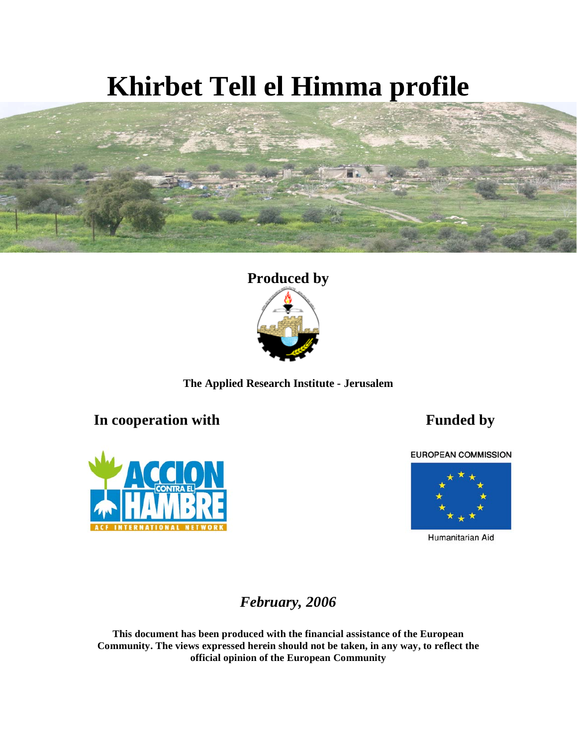# **Khirbet Tell el Himma profile**







### **In cooperation with Funded by**



**EUROPEAN COMMISSION** 



Humanitarian Aid

*February, 2006* 

**This document has been produced with the financial assistance of the European Community. The views expressed herein should not be taken, in any way, to reflect the official opinion of the European Community**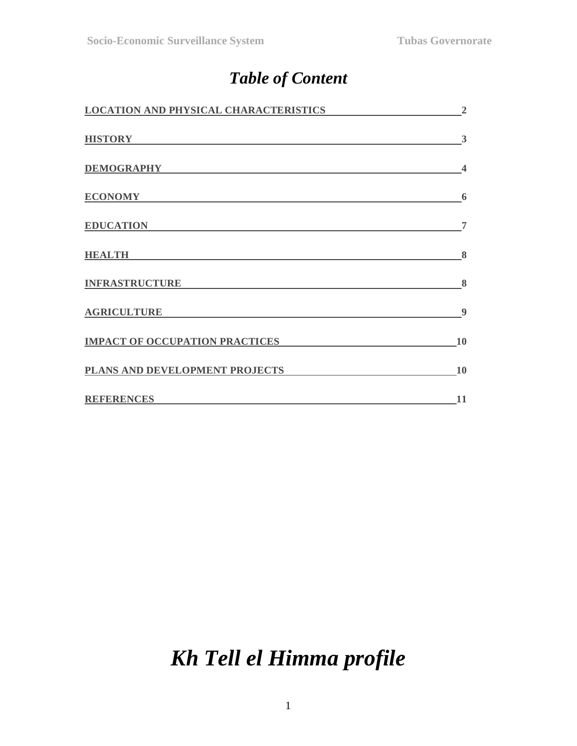### *Table of Content*

| <b>LOCATION AND PHYSICAL CHARACTERISTICS</b> | $\overline{2}$          |
|----------------------------------------------|-------------------------|
| <b>HISTORY</b>                               | 3                       |
| <b>DEMOGRAPHY</b>                            | $\overline{\mathbf{4}}$ |
| <b>ECONOMY</b>                               | 6                       |
| <b>EDUCATION</b>                             | 7                       |
| <b>HEALTH</b>                                | 8                       |
| <b>INFRASTRUCTURE</b>                        | 8                       |
| <b>AGRICULTURE</b>                           | 9                       |
| <b>IMPACT OF OCCUPATION PRACTICES</b>        | 10                      |
| PLANS AND DEVELOPMENT PROJECTS               | 10                      |
| <b>REFERENCES</b>                            | 11                      |

## *Kh Tell el Himma profile*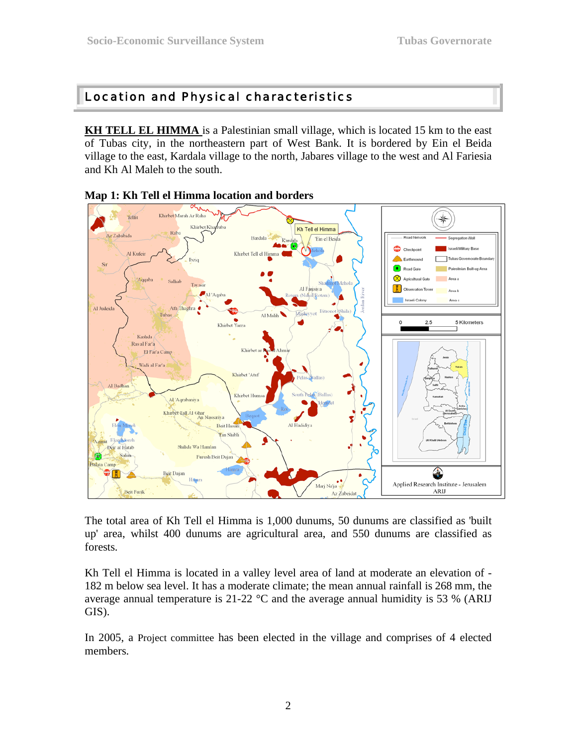#### Location and Physical characteristics

**KH TELL EL HIMMA** is a Palestinian small village, which is located 15 km to the east of Tubas city, in the northeastern part of West Bank. It is bordered by Ein el Beida village to the east, Kardala village to the north, Jabares village to the west and Al Fariesia and Kh Al Maleh to the south.





The total area of Kh Tell el Himma is 1,000 dunums, 50 dunums are classified as 'built up' area, whilst 400 dunums are agricultural area, and 550 dunums are classified as forests.

Kh Tell el Himma is located in a valley level area of land at moderate an elevation of - 182 m below sea level. It has a moderate climate; the mean annual rainfall is 268 mm, the average annual temperature is  $21-22$  °C and the average annual humidity is 53 % (ARIJ GIS).

In 2005, a Project committee has been elected in the village and comprises of 4 elected members.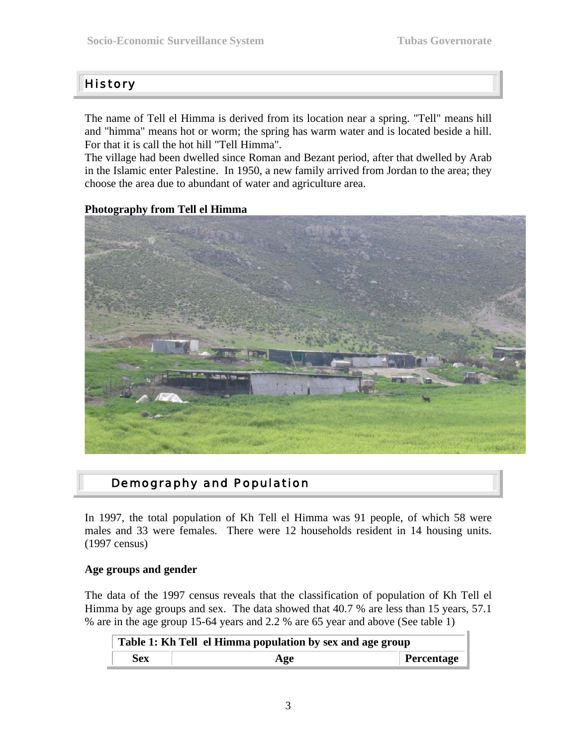#### **History**

The name of Tell el Himma is derived from its location near a spring. "Tell" means hill and "himma" means hot or worm; the spring has warm water and is located beside a hill. For that it is call the hot hill "Tell Himma".

The village had been dwelled since Roman and Bezant period, after that dwelled by Arab in the Islamic enter Palestine. In 1950, a new family arrived from Jordan to the area; they choose the area due to abundant of water and agriculture area.

#### **Photography from Tell el Himma**



#### Demography and Population

In 1997, the total population of Kh Tell el Himma was 91 people, of which 58 were males and 33 were females. There were 12 households resident in 14 housing units. (1997 census)

#### **Age groups and gender**

The data of the 1997 census reveals that the classification of population of Kh Tell el Himma by age groups and sex. The data showed that 40.7 % are less than 15 years, 57.1 % are in the age group 15-64 years and 2.2 % are 65 year and above (See table 1)

| Table 1: Kh Tell el Himma population by sex and age group |     |            |  |  |
|-----------------------------------------------------------|-----|------------|--|--|
| Sex                                                       | Age | Percentage |  |  |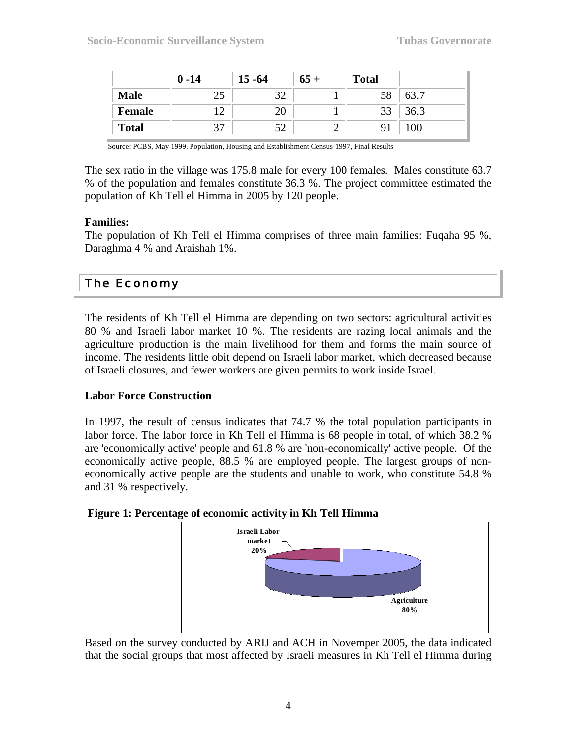|               | $0 - 14$ | $15 - 64$ | $65+$ | <b>Total</b> |      |
|---------------|----------|-----------|-------|--------------|------|
| <b>Male</b>   | 25       | 32        |       | 58           | 63.7 |
| <b>Female</b> |          | 20        |       | 33           | 36.3 |
| <b>Total</b>  |          |           |       |              | 100  |

Source: PCBS, May 1999. Population, Housing and Establishment Census-1997, Final Results

The sex ratio in the village was 175.8 male for every 100 females. Males constitute 63.7 % of the population and females constitute 36.3 %. The project committee estimated the population of Kh Tell el Himma in 2005 by 120 people.

#### **Families:**

The population of Kh Tell el Himma comprises of three main families: Fuqaha 95 %, Daraghma 4 % and Araishah 1%.

#### The Economy

The residents of Kh Tell el Himma are depending on two sectors: agricultural activities 80 % and Israeli labor market 10 %. The residents are razing local animals and the agriculture production is the main livelihood for them and forms the main source of income. The residents little obit depend on Israeli labor market, which decreased because of Israeli closures, and fewer workers are given permits to work inside Israel.

#### **Labor Force Construction**

In 1997, the result of census indicates that 74.7 % the total population participants in labor force. The labor force in Kh Tell el Himma is 68 people in total, of which 38.2 % are 'economically active' people and 61.8 % are 'non-economically' active people. Of the economically active people, 88.5 % are employed people. The largest groups of noneconomically active people are the students and unable to work, who constitute 54.8 % and 31 % respectively.

#### **Figure 1: Percentage of economic activity in Kh Tell Himma**



Based on the survey conducted by ARIJ and ACH in Novemper 2005, the data indicated that the social groups that most affected by Israeli measures in Kh Tell el Himma during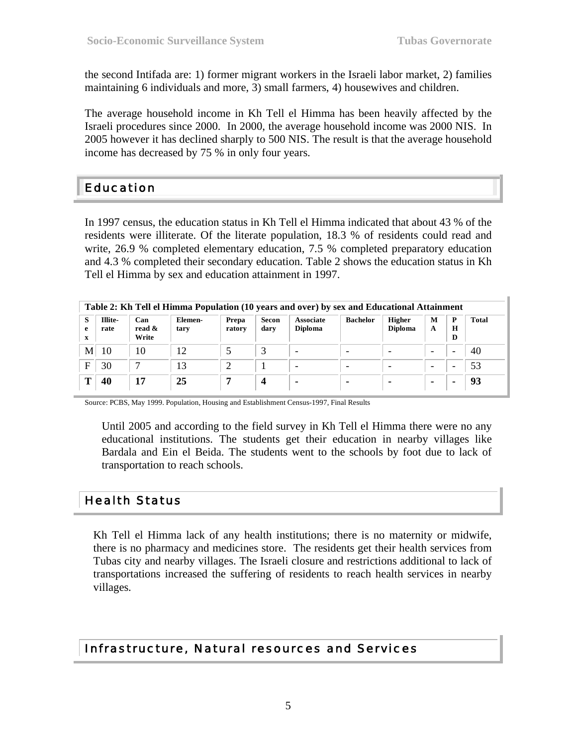the second Intifada are: 1) former migrant workers in the Israeli labor market, 2) families maintaining 6 individuals and more, 3) small farmers, 4) housewives and children.

The average household income in Kh Tell el Himma has been heavily affected by the Israeli procedures since 2000. In 2000, the average household income was 2000 NIS. In 2005 however it has declined sharply to 500 NIS. The result is that the average household income has decreased by 75 % in only four years.

#### Education

In 1997 census, the education status in Kh Tell el Himma indicated that about 43 % of the residents were illiterate. Of the literate population, 18.3 % of residents could read and write, 26.9 % completed elementary education, 7.5 % completed preparatory education and 4.3 % completed their secondary education. Table 2 shows the education status in Kh Tell el Himma by sex and education attainment in 1997.

| Table 2: Kh Tell el Himma Population (10 years and over) by sex and Educational Attainment |                 |                        |                 |                 |               |                                    |                 |                                 |                |                   |       |
|--------------------------------------------------------------------------------------------|-----------------|------------------------|-----------------|-----------------|---------------|------------------------------------|-----------------|---------------------------------|----------------|-------------------|-------|
| s<br>e<br>X                                                                                | Illite-<br>rate | Can<br>read &<br>Write | Elemen-<br>tary | Prepa<br>ratory | Secon<br>dary | <b>Associate</b><br><b>Diploma</b> | <b>Bachelor</b> | <b>Higher</b><br><b>Diploma</b> | M<br>A         | P<br>$\bf H$<br>D | Total |
| M                                                                                          | 10              | 10                     | 12              |                 |               |                                    |                 |                                 |                |                   | 40    |
| E                                                                                          | 30              |                        | 13              |                 |               |                                    |                 |                                 | -              |                   | 53    |
|                                                                                            | 40              | 17                     | 25              |                 | 4             |                                    |                 |                                 | $\blacksquare$ |                   | 93    |

Source: PCBS, May 1999. Population, Housing and Establishment Census-1997, Final Results

Until 2005 and according to the field survey in Kh Tell el Himma there were no any educational institutions. The students get their education in nearby villages like Bardala and Ein el Beida. The students went to the schools by foot due to lack of transportation to reach schools.

#### Health Status

Kh Tell el Himma lack of any health institutions; there is no maternity or midwife, there is no pharmacy and medicines store. The residents get their health services from Tubas city and nearby villages. The Israeli closure and restrictions additional to lack of transportations increased the suffering of residents to reach health services in nearby villages.

#### Infrastructure, Natural resources and Services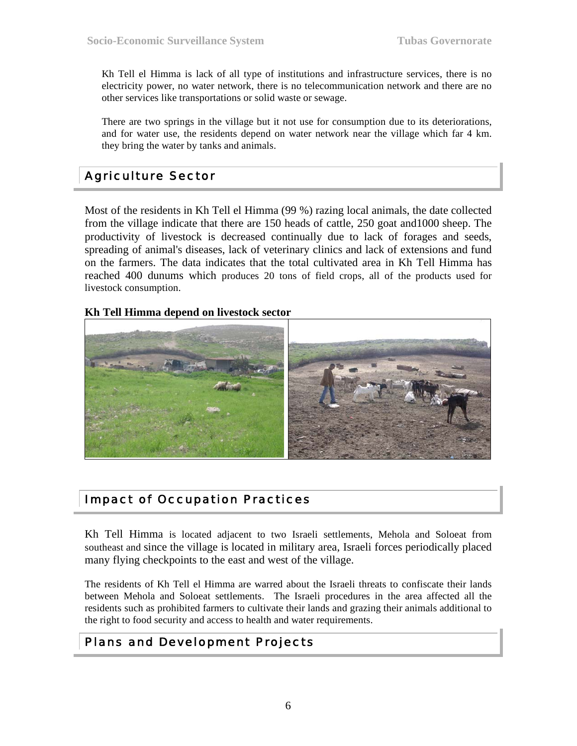Kh Tell el Himma is lack of all type of institutions and infrastructure services, there is no electricity power, no water network, there is no telecommunication network and there are no other services like transportations or solid waste or sewage.

There are two springs in the village but it not use for consumption due to its deteriorations, and for water use, the residents depend on water network near the village which far 4 km. they bring the water by tanks and animals.

#### Agriculture Sector

Most of the residents in Kh Tell el Himma (99 %) razing local animals, the date collected from the village indicate that there are 150 heads of cattle, 250 goat and1000 sheep. The productivity of livestock is decreased continually due to lack of forages and seeds, spreading of animal's diseases, lack of veterinary clinics and lack of extensions and fund on the farmers. The data indicates that the total cultivated area in Kh Tell Himma has reached 400 dunums which produces 20 tons of field crops, all of the products used for livestock consumption.

#### **Kh Tell Himma depend on livestock sector**



#### Impact of Occupation Practices

Kh Tell Himma is located adjacent to two Israeli settlements, Mehola and Soloeat from southeast and since the village is located in military area, Israeli forces periodically placed many flying checkpoints to the east and west of the village.

The residents of Kh Tell el Himma are warred about the Israeli threats to confiscate their lands between Mehola and Soloeat settlements. The Israeli procedures in the area affected all the residents such as prohibited farmers to cultivate their lands and grazing their animals additional to the right to food security and access to health and water requirements.

#### Plans and Development Projects